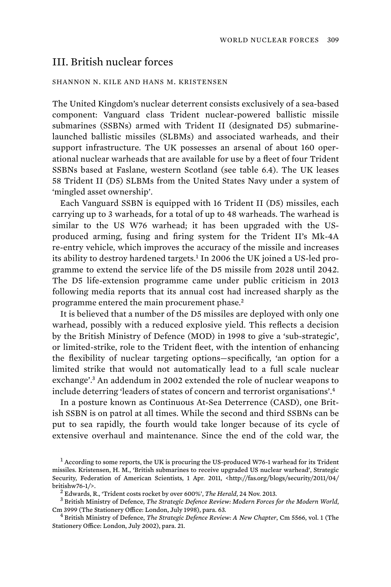## III. British nuclear forces

## SHANNON N. KILE AND HANS M. KRISTENSEN

The United Kingdom's nuclear deterrent consists exclusively of a sea-based component: Vanguard class Trident nuclear-powered ballistic missile submarines (SSBNs) armed with Trident II (designated D5) submarinelaunched ballistic missiles (SLBMs) and associated warheads, and their support infrastructure. The UK possesses an arsenal of about 160 operational nuclear warheads that are available for use by a fleet of four Trident SSBNs based at Faslane, western Scotland (see table 6.4). The UK leases 58 Trident II (D5) SLBMs from the United States Navy under a system of 'mingled asset ownership'.

Each Vanguard SSBN is equipped with 16 Trident II (D5) missiles, each carrying up to 3 warheads, for a total of up to 48 warheads. The warhead is similar to the US W76 warhead; it has been upgraded with the USproduced arming, fusing and firing system for the Trident II's Mk-4A re-entry vehicle, which improves the accuracy of the missile and increases its ability to destroy hardened targets.<sup>1</sup> In 2006 the UK joined a US-led programme to extend the service life of the D5 missile from 2028 until 2042. The D5 life-extension programme came under public criticism in 2013 following media reports that its annual cost had increased sharply as the programme entered the main procurement phase.<sup>2</sup>

It is believed that a number of the D5 missiles are deployed with only one warhead, possibly with a reduced explosive yield. This reflects a decision by the British Ministry of Defence (MOD) in 1998 to give a 'sub-strategic', or limited-strike, role to the Trident fleet, with the intention of enhancing the flexibility of nuclear targeting options—specifically, 'an option for a limited strike that would not automatically lead to a full scale nuclear exchange'.<sup>3</sup> An addendum in 2002 extended the role of nuclear weapons to include deterring 'leaders of states of concern and terrorist organisations'.<sup>4</sup>

In a posture known as Continuous At-Sea Deterrence (CASD), one British SSBN is on patrol at all times. While the second and third SSBNs can be put to sea rapidly, the fourth would take longer because of its cycle of extensive overhaul and maintenance. Since the end of the cold war, the

 $1$  According to some reports, the UK is procuring the US-produced W76-1 warhead for its Trident missiles. Kristensen, H. M., 'British submarines to receive upgraded US nuclear warhead', Strategic Security, Federation of American Scientists, 1 Apr. 2011, <http://fas.org/blogs/security/2011/04/ britishw76-1/>. <sup>2</sup>

<sup>&</sup>lt;sup>2</sup> Edwards, R., 'Trident costs rocket by over 600%', *The Herald*, 24 Nov. 2013.

British Ministry of Defence, *The Strategic Defence Review: Modern Forces for the Modern World*, Cm 3999 (The Stationery Office: London, July 1998), para. 63. <sup>4</sup>

British Ministry of Defence, *The Strategic Defence Review: A New Chapter*, Cm 5566, vol. 1 (The Stationery Office: London, July 2002), para. 21.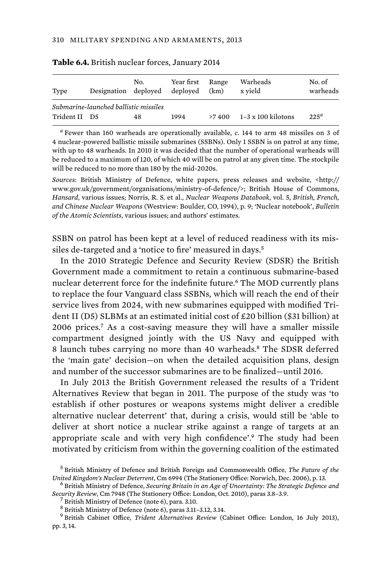| Type                                  | Designation deploved | No. | Year first<br>deploved | Range<br>(km) | Warheads<br>x vield       | No. of<br>warheads |
|---------------------------------------|----------------------|-----|------------------------|---------------|---------------------------|--------------------|
| Submarine-launched ballistic missiles |                      |     |                        |               |                           |                    |
| Trident II D5                         |                      | 48  | 1994                   | >7.400        | $1-3 \times 100$ kilotons | $225^{\circ}$      |

**Table 6.4.** British nuclear forces, January 2014

*a* Fewer than 160 warheads are operationally available, *c.* 144 to arm 48 missiles on 3 of 4 nuclear-powered ballistic missile submarines (SSBNs). Only 1 SSBN is on patrol at any time, with up to 48 warheads. In 2010 it was decided that the number of operational warheads will be reduced to a maximum of 120, of which 40 will be on patrol at any given time. The stockpile will be reduced to no more than 180 by the mid-2020s.

*Sources*: British Ministry of Defence, white papers, press releases and website, <http:// www.gov.uk/government/organisations/ministry-of-defence/>; British House of Commons, *Hansard*, various issues; Norris, R. S. et al., *Nuclear Weapons Databook*, vol. 5, *British, French, and Chinese Nuclear Weapons* (Westview: Boulder, CO, 1994), p. 9; 'Nuclear notebook', *Bulletin of the Atomic Scientists*, various issues; and authors' estimates.

SSBN on patrol has been kept at a level of reduced readiness with its missiles de-targeted and a 'notice to fire' measured in days.<sup>5</sup>

In the 2010 Strategic Defence and Security Review (SDSR) the British Government made a commitment to retain a continuous submarine-based nuclear deterrent force for the indefinite future.<sup>6</sup> The MOD currently plans to replace the four Vanguard class SSBNs, which will reach the end of their service lives from 2024, with new submarines equipped with modified Trident II (D5) SLBMs at an estimated initial cost of £20 billion (\$31 billion) at 2006 prices.<sup>7</sup> As a cost-saving measure they will have a smaller missile compartment designed jointly with the US Navy and equipped with 8 launch tubes carrying no more than 40 warheads.<sup>8</sup> The SDSR deferred the 'main gate' decision—on when the detailed acquisition plans, design and number of the successor submarines are to be finalized—until 2016.

In July 2013 the British Government released the results of a Trident Alternatives Review that began in 2011. The purpose of the study was 'to establish if other postures or weapons systems might deliver a credible alternative nuclear deterrent' that, during a crisis, would still be 'able to deliver at short notice a nuclear strike against a range of targets at an appropriate scale and with very high confidence'.<sup>9</sup> The study had been motivated by criticism from within the governing coalition of the estimated

<sup>5</sup> British Ministry of Defence and British Foreign and Commonwealth Office, *The Future of the United Kingdom's Nuclear Deterrent*, Cm 6994 (The Stationery Office: Norwich, Dec. 2006), p. 13. <sup>6</sup>

British Ministry of Defence, *Securing Britain in an Age of Uncertainty: The Strategic Defence and Security Review*, Cm 7948 (The Stationery Office: London, Oct. 2010), paras 3.8–3.9. <sup>7</sup>

 $<sup>7</sup>$  British Ministry of Defence (note 6), para. 3.10.</sup>

<sup>8</sup> British Ministry of Defence (note 6), paras 3.11–3.12, 3.14.

<sup>9</sup> British Cabinet Office, *Trident Alternatives Review* (Cabinet Office: London, 16 July 2013), pp. 3, 14.